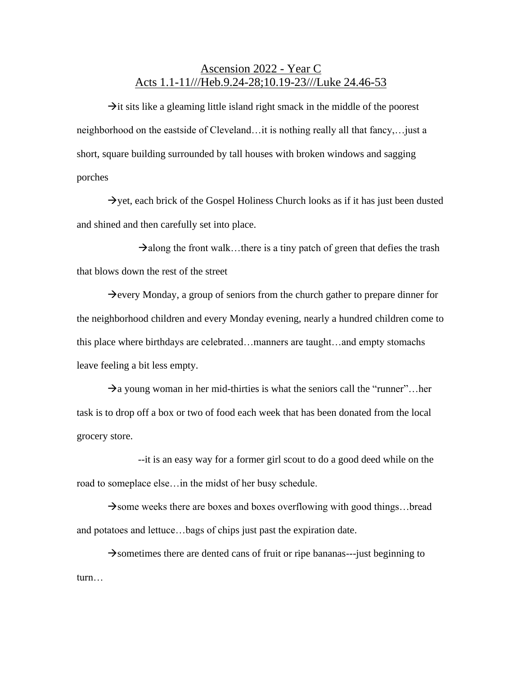## Ascension 2022 - Year C Acts 1.1-11///Heb.9.24-28;10.19-23///Luke 24.46-53

 $\rightarrow$ it sits like a gleaming little island right smack in the middle of the poorest neighborhood on the eastside of Cleveland…it is nothing really all that fancy,…just a short, square building surrounded by tall houses with broken windows and sagging porches

 $\rightarrow$  yet, each brick of the Gospel Holiness Church looks as if it has just been dusted and shined and then carefully set into place.

 $\rightarrow$ along the front walk…there is a tiny patch of green that defies the trash that blows down the rest of the street

 $\rightarrow$ every Monday, a group of seniors from the church gather to prepare dinner for the neighborhood children and every Monday evening, nearly a hundred children come to this place where birthdays are celebrated…manners are taught…and empty stomachs leave feeling a bit less empty.

 $\rightarrow$ a young woman in her mid-thirties is what the seniors call the "runner"... her task is to drop off a box or two of food each week that has been donated from the local grocery store.

--it is an easy way for a former girl scout to do a good deed while on the road to someplace else…in the midst of her busy schedule.

 $\rightarrow$ some weeks there are boxes and boxes overflowing with good things...bread and potatoes and lettuce…bags of chips just past the expiration date.

 $\rightarrow$ sometimes there are dented cans of fruit or ripe bananas---just beginning to turn…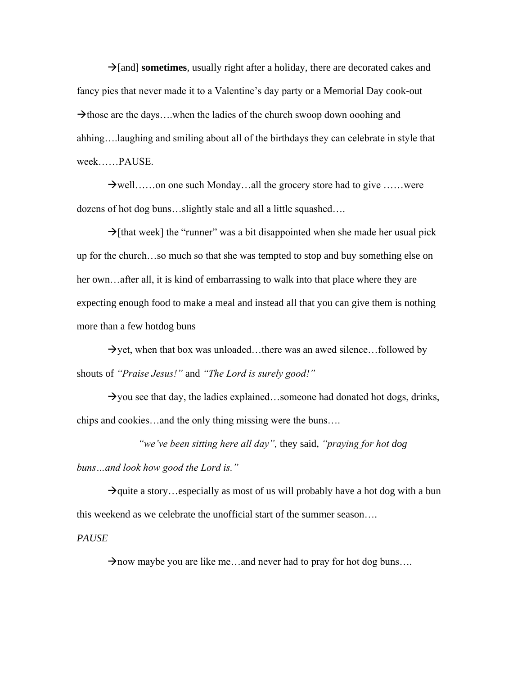→[and] **sometimes**, usually right after a holiday, there are decorated cakes and fancy pies that never made it to a Valentine's day party or a Memorial Day cook-out  $\rightarrow$ those are the days…when the ladies of the church swoop down ooohing and ahhing….laughing and smiling about all of the birthdays they can celebrate in style that week……PAUSE.

 $\rightarrow$  well……on one such Monday…all the grocery store had to give ……were dozens of hot dog buns…slightly stale and all a little squashed….

 $\rightarrow$ [that week] the "runner" was a bit disappointed when she made her usual pick up for the church…so much so that she was tempted to stop and buy something else on her own…after all, it is kind of embarrassing to walk into that place where they are expecting enough food to make a meal and instead all that you can give them is nothing more than a few hotdog buns

 $\rightarrow$ yet, when that box was unloaded…there was an awed silence…followed by shouts of *"Praise Jesus!"* and *"The Lord is surely good!"*

 $\rightarrow$ you see that day, the ladies explained…someone had donated hot dogs, drinks, chips and cookies…and the only thing missing were the buns….

*"we've been sitting here all day",* they said, *"praying for hot dog buns…and look how good the Lord is."*

 $\rightarrow$ quite a story…especially as most of us will probably have a hot dog with a bun this weekend as we celebrate the unofficial start of the summer season….

*PAUSE*

 $\rightarrow$ now maybe you are like me...and never had to pray for hot dog buns....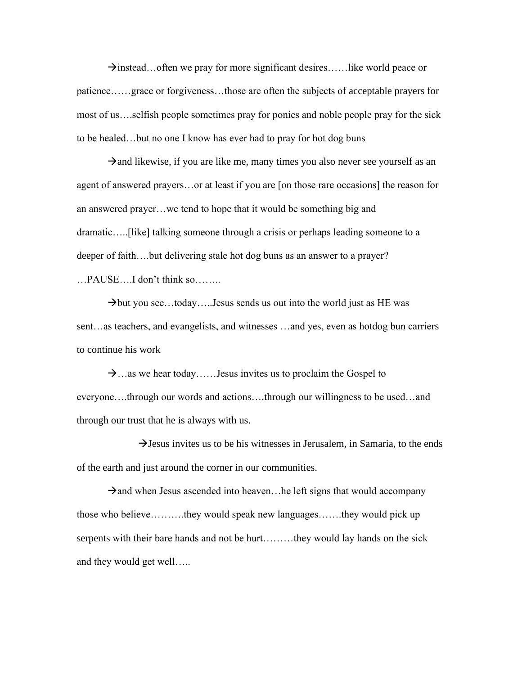$\rightarrow$ instead…often we pray for more significant desires……like world peace or patience……grace or forgiveness…those are often the subjects of acceptable prayers for most of us….selfish people sometimes pray for ponies and noble people pray for the sick to be healed…but no one I know has ever had to pray for hot dog buns

 $\rightarrow$ and likewise, if you are like me, many times you also never see yourself as an agent of answered prayers…or at least if you are [on those rare occasions] the reason for an answered prayer…we tend to hope that it would be something big and dramatic…..[like] talking someone through a crisis or perhaps leading someone to a deeper of faith….but delivering stale hot dog buns as an answer to a prayer? …PAUSE….I don't think so……..

 $\rightarrow$ but you see...today.....Jesus sends us out into the world just as HE was sent…as teachers, and evangelists, and witnesses …and yes, even as hotdog bun carriers to continue his work

 $\rightarrow$ …as we hear today……Jesus invites us to proclaim the Gospel to everyone….through our words and actions….through our willingness to be used…and through our trust that he is always with us.

 $\rightarrow$  Jesus invites us to be his witnesses in Jerusalem, in Samaria, to the ends of the earth and just around the corner in our communities.

 $\rightarrow$ and when Jesus ascended into heaven... he left signs that would accompany those who believe……….they would speak new languages…….they would pick up serpents with their bare hands and not be hurt………they would lay hands on the sick and they would get well…..